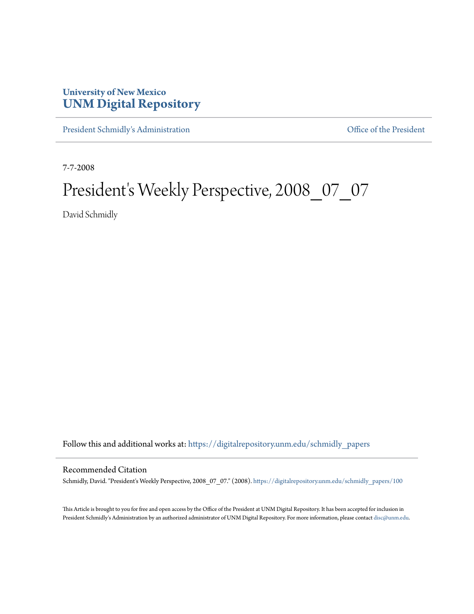## **University of New Mexico [UNM Digital Repository](https://digitalrepository.unm.edu?utm_source=digitalrepository.unm.edu%2Fschmidly_papers%2F100&utm_medium=PDF&utm_campaign=PDFCoverPages)**

[President Schmidly's Administration](https://digitalrepository.unm.edu/schmidly_papers?utm_source=digitalrepository.unm.edu%2Fschmidly_papers%2F100&utm_medium=PDF&utm_campaign=PDFCoverPages) [Office of the President](https://digitalrepository.unm.edu/ofc_president?utm_source=digitalrepository.unm.edu%2Fschmidly_papers%2F100&utm_medium=PDF&utm_campaign=PDFCoverPages)

7-7-2008

## President's Weekly Perspective, 2008\_07\_07

David Schmidly

Follow this and additional works at: [https://digitalrepository.unm.edu/schmidly\\_papers](https://digitalrepository.unm.edu/schmidly_papers?utm_source=digitalrepository.unm.edu%2Fschmidly_papers%2F100&utm_medium=PDF&utm_campaign=PDFCoverPages)

## Recommended Citation

Schmidly, David. "President's Weekly Perspective, 2008\_07\_07." (2008). [https://digitalrepository.unm.edu/schmidly\\_papers/100](https://digitalrepository.unm.edu/schmidly_papers/100?utm_source=digitalrepository.unm.edu%2Fschmidly_papers%2F100&utm_medium=PDF&utm_campaign=PDFCoverPages)

This Article is brought to you for free and open access by the Office of the President at UNM Digital Repository. It has been accepted for inclusion in President Schmidly's Administration by an authorized administrator of UNM Digital Repository. For more information, please contact [disc@unm.edu](mailto:disc@unm.edu).